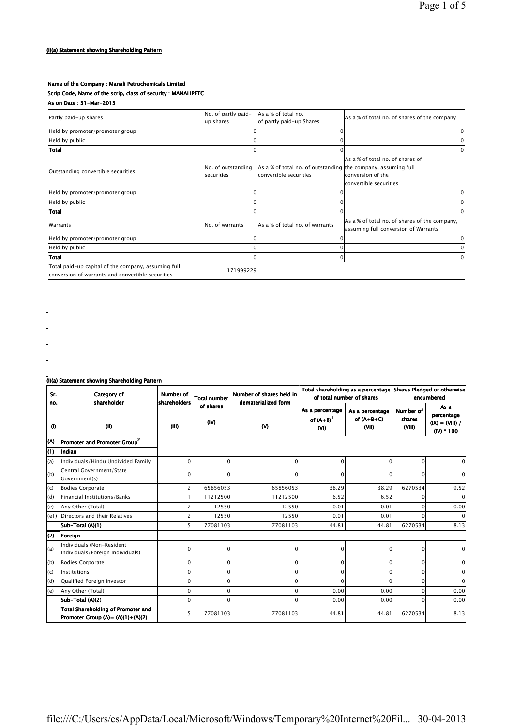## Name of the Company : Manali Petrochemicals Limited

## Scrip Code, Name of the scrip, class of security : MANALIPETC

As on Date : 31-Mar-2013

| Partly paid-up shares                                                                                    | No. of partly paid-<br>up shares        | As a % of total no.<br>of partly paid-up Shares                                         | As a % of total no. of shares of the company                                          |  |  |
|----------------------------------------------------------------------------------------------------------|-----------------------------------------|-----------------------------------------------------------------------------------------|---------------------------------------------------------------------------------------|--|--|
| Held by promoter/promoter group                                                                          |                                         |                                                                                         | 0                                                                                     |  |  |
| Held by public                                                                                           |                                         |                                                                                         | $\Omega$                                                                              |  |  |
| Total                                                                                                    |                                         |                                                                                         | $\Omega$                                                                              |  |  |
| Outstanding convertible securities                                                                       | No. of outstanding<br><b>securities</b> | As a % of total no. of outstanding the company, assuming full<br>convertible securities | As a % of total no. of shares of<br>conversion of the<br>convertible securities       |  |  |
| Held by promoter/promoter group                                                                          | $\Omega$                                |                                                                                         | $\Omega$                                                                              |  |  |
| Held by public                                                                                           |                                         |                                                                                         | 0                                                                                     |  |  |
| Total                                                                                                    |                                         |                                                                                         | $\Omega$                                                                              |  |  |
| Warrants                                                                                                 | No. of warrants                         | As a % of total no. of warrants                                                         | As a % of total no. of shares of the company,<br>assuming full conversion of Warrants |  |  |
| Held by promoter/promoter group                                                                          |                                         |                                                                                         | $\Omega$                                                                              |  |  |
| Held by public                                                                                           |                                         |                                                                                         | 0                                                                                     |  |  |
| Total                                                                                                    |                                         |                                                                                         | $\Omega$                                                                              |  |  |
| Total paid-up capital of the company, assuming full<br>conversion of warrants and convertible securities | 171999229                               |                                                                                         |                                                                                       |  |  |

(I)(a) Statement showing Shareholding Pattern

š,  $\begin{bmatrix} 1 \\ 1 \\ 2 \end{bmatrix}$  $\frac{1}{\sqrt{2}}$  $\mathbb{Z}$ 

| Sr.<br>no. | Category of<br>shareholder                                                | Number of<br>shareholders | <b>Total number</b> | Number of shares held in<br>dematerialized form |                                           | Total shareholding as a percentage Shares Pledged or otherwise<br>of total number of shares |                               | encumbered                                              |
|------------|---------------------------------------------------------------------------|---------------------------|---------------------|-------------------------------------------------|-------------------------------------------|---------------------------------------------------------------------------------------------|-------------------------------|---------------------------------------------------------|
| $\bf(0)$   | (II)                                                                      | (III)                     | of shares<br>(IV)   | <b>M</b>                                        | As a percentage<br>of $(A+B)^{1}$<br>(VI) | As a percentage<br>of $(A+B+C)$<br>(VII)                                                    | Number of<br>shares<br>(VIII) | As a<br>percentage<br>$(IX) = (VIII) /$<br>$(IV) * 100$ |
| K)         | Promoter and Promoter Group <sup>2</sup>                                  |                           |                     |                                                 |                                           |                                                                                             |                               |                                                         |
| (1)        | Indian                                                                    |                           |                     |                                                 |                                           |                                                                                             |                               |                                                         |
| (a)        | Individuals/Hindu Undivided Family                                        | 0                         | $\Omega$            | 0                                               | $\mathbf 0$                               | $\mathbf 0$                                                                                 | 0                             | $\Omega$                                                |
| (b)        | Central Government/State<br>Government(s)                                 | $\Omega$                  | n                   | n                                               | $\Omega$                                  | 0                                                                                           | ŋ                             | $\Omega$                                                |
| (c)        | <b>Bodies Corporate</b>                                                   | 2                         | 65856053            | 65856053                                        | 38.29                                     | 38.29                                                                                       | 6270534                       | 9.52                                                    |
| (d)        | Financial Institutions/Banks                                              |                           | 11212500            | 11212500                                        | 6.52                                      | 6.52                                                                                        |                               | $\Omega$                                                |
| (e)        | Any Other (Total)                                                         |                           | 12550               | 12550                                           | 0.01                                      | 0.01                                                                                        | $\Omega$                      | 0.00                                                    |
| (e1)       | Directors and their Relatives                                             |                           | 12550               | 12550                                           | 0.01                                      | 0.01                                                                                        | U                             | $\Omega$                                                |
|            | Sub-Total (A)(1)                                                          | 51                        | 77081103            | 77081103                                        | 44.81                                     | 44.81                                                                                       | 6270534                       | 8.13                                                    |
| (2)        | Foreign                                                                   |                           |                     |                                                 |                                           |                                                                                             |                               |                                                         |
| (a)        | Individuals (Non-Resident<br>Individuals/Foreign Individuals)             | $\Omega$                  | 0                   | 0                                               | $\mathbf 0$                               | $\Omega$                                                                                    | O                             | $\mathbf 0$                                             |
| (b)        | <b>Bodies Corporate</b>                                                   | $\Omega$                  | $\Omega$            | 0                                               | $\mathbf 0$                               | $\Omega$                                                                                    | $\Omega$                      | $\mathbf 0$                                             |
| (c)        | <b>Institutions</b>                                                       | $\Omega$                  | $\Omega$            | $\Omega$                                        | $\Omega$                                  | $\Omega$                                                                                    | O                             | $\mathbf 0$                                             |
| (d)        | Qualified Foreign Investor                                                | $\Omega$                  | 0                   | 0                                               | $\Omega$                                  | $\Omega$                                                                                    | U                             | $\Omega$                                                |
| (e)        | Any Other (Total)                                                         | $\Omega$                  | $\Omega$            | $\Omega$                                        | 0.00                                      | 0.00                                                                                        | U                             | 0.00                                                    |
|            | Sub-Total (A)(2)                                                          | $\Omega$                  | $\Omega$            | $\Omega$                                        | 0.00                                      | 0.00                                                                                        | U                             | 0.00                                                    |
|            | Total Shareholding of Promoter and<br>Promoter Group (A)= $(A)(1)+(A)(2)$ |                           | 77081103            | 77081103                                        | 44.81                                     | 44.81                                                                                       | 6270534                       | 8.13                                                    |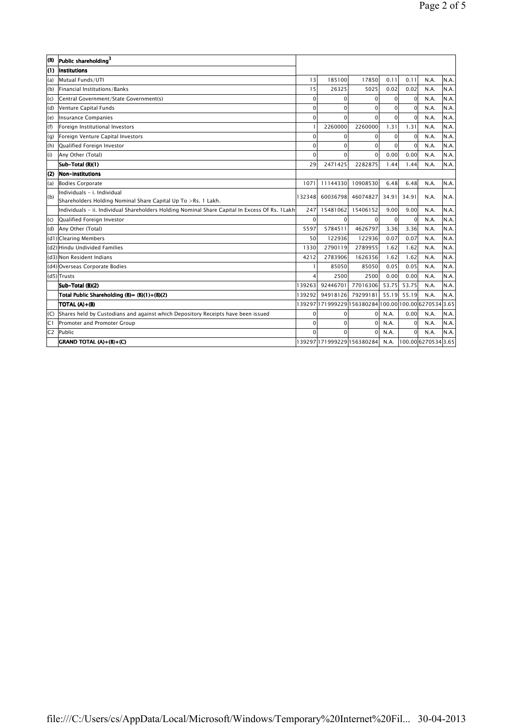| (B)   | Public shareholding <sup>3</sup>                              |          |          |          |                   |          |      |       |
|-------|---------------------------------------------------------------|----------|----------|----------|-------------------|----------|------|-------|
| (1)   | <b>Institutions</b>                                           |          |          |          |                   |          |      |       |
| (a)   | Mutual Funds/UTI                                              | 13       | 185100   | 17850    | 0.11              | 0.11     | N.A. | N.A.  |
| (b)   | Financial Institutions/Banks                                  | 15       | 26325    | 5025     | 0.02              | 0.02     | N.A. | N.A.  |
| (c)   | Central Government/State Government(s)                        | 0        | ŋ        | $\Omega$ |                   | $\Omega$ | N.A. | N.A.  |
| (d)   | Venture Capital Funds                                         | $\Omega$ | O        | $\Omega$ | ΩI                | $\Omega$ | N.A. | IN.A. |
| (e)   | Insurance Companies                                           | 0        | ŋ        | 0        | ΩI                | $\Omega$ | N.A. | N.A.  |
| (f)   | Foreign Institutional Investors                               | п        | 2260000  | 2260000  | 1.31              | 1.31     | N.A. | N.A.  |
| (g)   | Foreign Venture Capital Investors                             | 0        |          | $\Omega$ | ΩI                | $\Omega$ | N.A. | N.A.  |
| (h)   | Qualified Foreign Investor                                    | $\Omega$ | O        | $\Omega$ |                   | $\Omega$ | N.A. | N.A.  |
| (i)   | Any Other (Total)                                             | $\Omega$ |          | $\Omega$ | 0.00 <sub>l</sub> | 0.00     | N.A. | IN.A. |
|       | Sub-Total (B)(1)                                              | 29       | 2471425  | 2282875  | 1.44              | 1.44     | N.A. | N.A.  |
| $(2)$ | Non-institutions                                              |          |          |          |                   |          |      |       |
| (a)   | Bodies Corporate                                              | 1071     | 11144330 | 10908530 | 6.48              | 6.48     | N.A. | İN.A. |
| (b)   | Individuals - i. Individual                                   | 132348   | 60036798 | 46074827 | 34.91             | 34.91    | N.A. | N.A.  |
|       | Shareholders Holding Nominal Share Capital Up To >Rs. 1 Lakh. |          |          |          |                   |          |      |       |

|                | Sub-Total (B)(1)                                                                                | 29       | 2471425                                               | 2282875  | 1.44              | 1.44     | N.A.                | N.A.  |
|----------------|-------------------------------------------------------------------------------------------------|----------|-------------------------------------------------------|----------|-------------------|----------|---------------------|-------|
| (2)            | <b>Non-institutions</b>                                                                         |          |                                                       |          |                   |          |                     |       |
| (a)            | Bodies Corporate                                                                                | 1071     | 11144330                                              | 10908530 | 6.48              | 6.48     | N.A.                | N.A.  |
| (b)            | lIndividuals - i. Individual<br>Shareholders Holding Nominal Share Capital Up To >Rs. 1 Lakh.   | 32348    | 60036798                                              | 46074827 | 34.91             | 34.91    | N.A.                | IN.A. |
|                | Individuals - ii. Individual Shareholders Holding Nominal Share Capital In Excess Of Rs. 1 Lakh | 247      | 15481062                                              | 15406152 | 9.00 <sub>l</sub> | 9.00     | N.A.                | N.A.  |
| (c)            | Qualified Foreign Investor                                                                      | $\Omega$ | $\Omega$                                              | 0        | 0                 | $\Omega$ | N.A.                | N.A.  |
| (d)            | Any Other (Total)                                                                               | 5597     | 5784511                                               | 4626797  | 3.36              | 3.36     | N.A.                | N.A.  |
|                | (d1) Clearing Members                                                                           | 50       | 122936                                                | 122936   | 0.07              | 0.07     | N.A.                | N.A.  |
|                | (d2) Hindu Undivided Families                                                                   | 1330     | 2790119                                               | 2789955  | 1.62              | 1.62     | N.A.                | N.A.  |
|                | (d3) Non Resident Indians                                                                       | 4212     | 2783906                                               | 1626356  | 1.62              | 1.62     | N.A.                | N.A.  |
|                | (d4) Overseas Corporate Bodies                                                                  |          | 85050                                                 | 85050    | 0.05              | 0.05     | N.A.                | N.A.  |
|                | (d5)Trusts                                                                                      | 4        | 2500                                                  | 2500     | 0.00              | 0.00     | N.A.                | N.A.  |
|                | Sub-Total (B)(2)                                                                                | 39263    | 92446701                                              | 77016306 | 53.75             | 53.75    | N.A.                | N.A.  |
|                | Total Public Shareholding $(B) = (B)(1)+(B)(2)$                                                 | 139292   | 94918126                                              | 79299181 | 55.19             | 55.19    | N.A.                | N.A.  |
|                | TOTAL (A)+(B)                                                                                   |          | 139297 171999229 156380284 100.00 100.00 6270534 3.65 |          |                   |          |                     |       |
| (C)            | Shares held by Custodians and against which Depository Receipts have been issued                | 0        |                                                       | $\Omega$ | N.A.              | 0.00     | N.A.                | N.A.  |
| C1             | Promoter and Promoter Group                                                                     | 0        | $\Omega$                                              | $\Omega$ | N.A.              | $\Omega$ | N.A.                | N.A.  |
| C <sub>2</sub> | Public                                                                                          | 0        |                                                       | $\Omega$ | N.A.              | $\Omega$ | N.A.                | N.A.  |
|                | <b>GRAND TOTAL (A)+(B)+(C)</b>                                                                  |          | 139297 171999229 156380284                            |          | N.A.              |          | 100.00 6270534 3.65 |       |
|                |                                                                                                 |          |                                                       |          |                   |          |                     |       |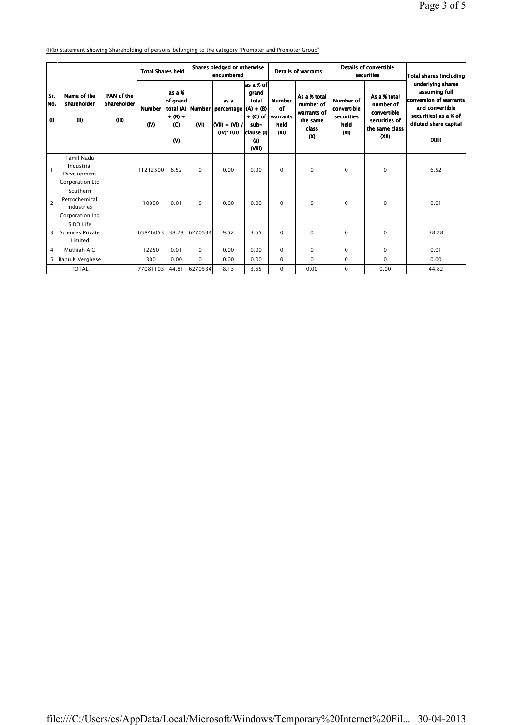(I)(b) Statement showing Shareholding of persons belonging to the category "Promoter and Promoter Group"

|                    |                                                                   | PAN of the<br>Shareholder<br>(III) |                       | <b>Total Shares held</b>                                       |          | Shares pledged or otherwise<br>encumbered                          |                                                                                                 |                                                              | <b>Details of warrants</b>                                                |                                                               | Details of convertible<br>securities                                                 | Total shares (including                                                                                                                            |  |
|--------------------|-------------------------------------------------------------------|------------------------------------|-----------------------|----------------------------------------------------------------|----------|--------------------------------------------------------------------|-------------------------------------------------------------------------------------------------|--------------------------------------------------------------|---------------------------------------------------------------------------|---------------------------------------------------------------|--------------------------------------------------------------------------------------|----------------------------------------------------------------------------------------------------------------------------------------------------|--|
| Sr.<br>lNo.<br>(1) | Name of the<br>shareholder<br>(1)                                 |                                    | <b>Number</b><br>(IV) | as a %<br>of grand<br>$+ (B) +$<br>$\mathbf{C}$<br>$\mathbf w$ | (VI)     | as a<br>total (A) Number percentage<br>$ (V11) = (V1)$<br>(IV)*100 | as a % of<br>grand<br>total<br>$(A) + (B)$<br>$+$ (C) of<br>sub-<br>clause (I)<br>(a)<br>(VIII) | <b>Number</b><br>of<br>warrants<br>held<br>(X <sub>0</sub> ) | As a % total<br>number of<br>warrants of<br>the same<br>class<br>$\infty$ | <b>Number of</b><br>convertible<br>securities<br>held<br>(XI) | As a % total<br>number of<br>convertible<br>securities of<br>the same class<br>(X I) | underlying shares<br>assuming full<br><b>conversion of warrants</b><br>and convertible<br>securities) as a % of<br>diluted share capital<br>(XIII) |  |
|                    | <b>Tamil Nadu</b><br>Industrial<br>Development<br>Corporation Ltd |                                    | 11212500              | 6.52                                                           | $\Omega$ | 0.00                                                               | 0.00                                                                                            | $\Omega$                                                     | $\Omega$                                                                  | $\mathbf 0$                                                   | $\mathbf 0$                                                                          | 6.52                                                                                                                                               |  |
| $\overline{2}$     | Southern<br>Petrochemical<br>Industries<br>Corporation Ltd        |                                    | 10000                 | 0.01                                                           | 0        | 0.00                                                               | 0.00                                                                                            | $\Omega$                                                     | $\mathbf 0$                                                               | $\mathbf 0$                                                   | $\mathbf 0$                                                                          | 0.01                                                                                                                                               |  |
| 3                  | SIDD Life<br>Sciences Private<br>Limited                          |                                    | 65846053              | 38.28                                                          | 6270534  | 9.52                                                               | 3.65                                                                                            | $\Omega$                                                     | $\mathbf 0$                                                               | $\mathbf 0$                                                   | $\mathbf 0$                                                                          | 38.28                                                                                                                                              |  |
| $\overline{4}$     | Muthiah A C                                                       |                                    | 12250                 | 0.01                                                           | $\Omega$ | 0.00                                                               | 0.00                                                                                            | $\Omega$                                                     | $\Omega$                                                                  | $\mathbf 0$                                                   | $\mathbf 0$                                                                          | 0.01                                                                                                                                               |  |
| 5 <sup>7</sup>     | Babu K Verghese                                                   |                                    | 300                   | 0.00                                                           | $\Omega$ | 0.00                                                               | 0.00                                                                                            | $\Omega$                                                     | $\Omega$                                                                  | $\mathbf 0$                                                   | $\Omega$                                                                             | 0.00                                                                                                                                               |  |
|                    | <b>TOTAL</b>                                                      |                                    | 77081103              | 44.81                                                          | 6270534  | 8.13                                                               | 3.65                                                                                            | $\Omega$                                                     | 0.00                                                                      | $\mathbf 0$                                                   | 0.00                                                                                 | 44.82                                                                                                                                              |  |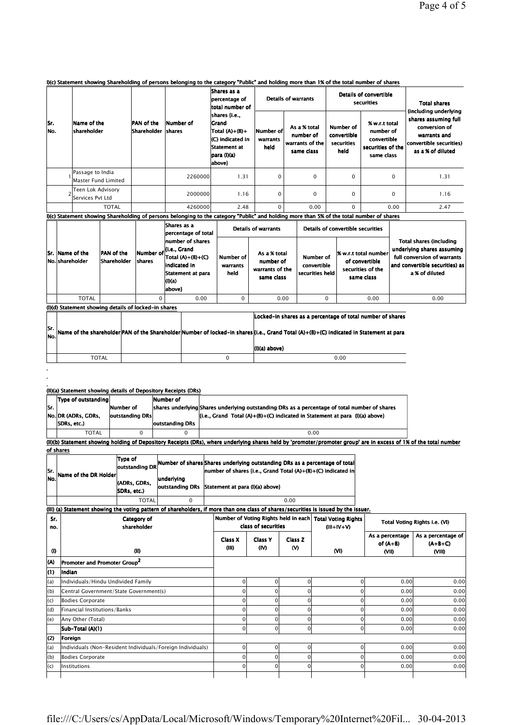## I)(c) Statement showing Shareholding of persons belonging to the category "Public" and holding more than 1% of the total number of shares

|             |                                         |                                          |           | Shares as a<br>percentage of<br>total number of                                                          |                               | <b>Details of warrants</b>                                 |                                                | Details of convertible<br>securities                                         | <b>Total shares</b><br>(including underlying                                                          |  |
|-------------|-----------------------------------------|------------------------------------------|-----------|----------------------------------------------------------------------------------------------------------|-------------------------------|------------------------------------------------------------|------------------------------------------------|------------------------------------------------------------------------------|-------------------------------------------------------------------------------------------------------|--|
| lSr.<br>No. | Name of the<br><b>Ishareholder</b>      | <b>PAN</b> of the<br>Shareholder Ishares | Number of | shares {i.e.,<br>lGrand<br>Total $(A)+(B)+$<br>(C) indicated in<br>Statement at<br>para (I)(a)<br>above} | Number of<br>warrants<br>held | As a % total<br>number of<br>warrants of the<br>same class | Number of<br>convertible<br>securities<br>held | % w.r.t total<br>number of<br>convertible<br>securities of the<br>same class | shares assuming full<br>conversion of<br>warrants and<br>convertible securities)<br>as a % of diluted |  |
|             | Passage to India<br>Master Fund Limited |                                          | 2260000   | 1.31                                                                                                     | $\mathbf 0$                   | $\mathbf 0$                                                | $\Omega$                                       | $\mathbf 0$                                                                  | 1.31                                                                                                  |  |
|             | Teen Lok Advisory<br>Services Pvt Ltd   |                                          | 2000000   | 1.16                                                                                                     | 0                             | $\mathbf 0$                                                | $\Omega$                                       | $\mathbf 0$                                                                  | 1.16                                                                                                  |  |
|             | <b>TOTAL</b>                            |                                          | 4260000   | 2.48                                                                                                     | $\mathbf 0$                   | 0.00                                                       | $\Omega$                                       | 0.00                                                                         | 2.47                                                                                                  |  |

I)(c) Statement showing Shareholding of persons belonging to the category "Public" and holding more than 5% of the total number of shares

TOTAL 0 0.00

|            |                                                      |                                  |                | Shares as a<br>percentage of total                                                                                                                       | Details of warrants           |                                                            |                                             | Details of convertible securities                                                                                                                                                                     |                                                                                                                                                 |
|------------|------------------------------------------------------|----------------------------------|----------------|----------------------------------------------------------------------------------------------------------------------------------------------------------|-------------------------------|------------------------------------------------------------|---------------------------------------------|-------------------------------------------------------------------------------------------------------------------------------------------------------------------------------------------------------|-------------------------------------------------------------------------------------------------------------------------------------------------|
|            | Sr. Name of the<br> No. shareholder                  | <b>PAN</b> of the<br>Shareholder | <b>Ishares</b> | number of shares<br>Number of [i.e., Grand<br>$\textsf{Total}(A) + \textsf{(B)} + \textsf{(C)}$<br>indicated in<br>Statement at para<br>(1)(a)<br>above} | Number of<br>warrants<br>held | As a % total<br>number of<br>warrants of the<br>same class | Number of<br>convertible<br>securities held | % w.r.t total number<br>of convertible<br>securities of the<br>same class                                                                                                                             | <b>Total shares (including</b><br>underlying shares assuming<br>full conversion of warrants<br>and convertible securities) as<br>a % of diluted |
|            | <b>TOTAL</b>                                         |                                  | 0              | 0.00                                                                                                                                                     |                               | 0.00                                                       | 0                                           | 0.00                                                                                                                                                                                                  | 0.00                                                                                                                                            |
|            | (I)(d) Statement showing details of locked-in shares |                                  |                |                                                                                                                                                          |                               |                                                            |                                             |                                                                                                                                                                                                       |                                                                                                                                                 |
| Sr.<br>No. |                                                      |                                  |                |                                                                                                                                                          |                               | $(1)(a)$ above}                                            |                                             | Locked-in shares as a percentage of total number of shares<br>Name of the shareholder PAN of the Shareholder Number of locked-in shares {i.e., Grand Total (A)+(B)+(C) indicated in Statement at para |                                                                                                                                                 |

## (II)(a) Statement showing details of Depository Receipts (DRs)

 $\tilde{\phantom{a}}$ 

|      | Type of outstanding |                 | Number of       |                                                                                               |
|------|---------------------|-----------------|-----------------|-----------------------------------------------------------------------------------------------|
| lSr. |                     | Number of       |                 | shares underlying Shares underlying outstanding DRs as a percentage of total number of shares |
|      | No. DR (ADRs. GDRs. | outstanding DRs |                 | $\left  \right $ [i.e., Grand Total (A)+(B)+(C) indicated in Statement at para (I)(a) above   |
|      | SDRs. etc.)         |                 | outstanding DRs |                                                                                               |
|      | <b>TOTAL</b>        |                 |                 | 0.00                                                                                          |

(II)(b) Statement showing holding of Depository Receipts (DRs), where underlying shares held by 'promoter/promoter group' are in excess of 1% of the total number of shares

| lSr. | Name of the DR Holder | Type of<br>outstanding DR   |             | Number of shares Shares underlying outstanding DRs as a percentage of total<br>$ number of shares \{i.e., Grand Total (A)+(B)+(C) indicated in $ |  |  |  |
|------|-----------------------|-----------------------------|-------------|--------------------------------------------------------------------------------------------------------------------------------------------------|--|--|--|
| lNo. |                       | (ADRs, GDRs,<br>SDRs. etc.) | lunderlvina | outstanding DRs Statement at para (I)(a) above}                                                                                                  |  |  |  |
|      |                       | TOTAL                       |             | 0.00                                                                                                                                             |  |  |  |

(III) (a) Statement showing the voting pattern of shareholders, if more than one class of shares/securities is issued by the issuer.

| Sr.<br>no. | Category of<br>shareholder                                 | Number of Voting Rights held in each | class of securities |              | <b>Total Voting Rights</b><br>$(III + IV + V)$ | Total Voting Rights i.e. (VI)          |                                           |  |
|------------|------------------------------------------------------------|--------------------------------------|---------------------|--------------|------------------------------------------------|----------------------------------------|-------------------------------------------|--|
| $\bf{0}$   | (II)                                                       | Class X<br>(III)                     | Class Y<br>(IV)     | Class Z<br>൜ | (VI)                                           | As a percentage<br>of $(A+B)$<br>(VII) | As a percentage of<br>$(A+B+C)$<br>(VIII) |  |
| (A)        | Promoter and Promoter Group <sup>2</sup>                   |                                      |                     |              |                                                |                                        |                                           |  |
| (1)        | Indian                                                     |                                      |                     |              |                                                |                                        |                                           |  |
| (a)        | Individuals/Hindu Undivided Family                         | 0                                    |                     | $\Omega$     | $\Omega$                                       | 0.00                                   | 0.00                                      |  |
| (b)        | Central Government/State Government(s)                     | O                                    |                     | $\Omega$     | $\Omega$                                       | 0.00                                   | 0.00                                      |  |
| (c)        | Bodies Corporate                                           |                                      | n                   | $\Omega$     | $\Omega$                                       | 0.00                                   | 0.00                                      |  |
| (d)        | Financial Institutions/Banks                               |                                      |                     | $\Omega$     | $\Omega$                                       | 0.00                                   | 0.00                                      |  |
| (e)        | Any Other (Total)                                          |                                      |                     | $\Omega$     | $\Omega$                                       | 0.00                                   | 0.00                                      |  |
|            | Sub-Total (A)(1)                                           | 0                                    |                     | $\Omega$     | $\mathbf{0}$                                   | 0.00                                   | 0.00                                      |  |
| (2)        | Foreign                                                    |                                      |                     |              |                                                |                                        |                                           |  |
| (a)        | Individuals (Non-Resident Individuals/Foreign Individuals) | $\Omega$                             |                     | $\Omega$     | $\Omega$                                       | 0.00                                   | 0.00                                      |  |
| (b)        | Bodies Corporate                                           | O                                    |                     | $\Omega$     | $\Omega$                                       | 0.00                                   | 0.00                                      |  |
| (c)        | Institutions                                               | $\Omega$                             | O                   | $\Omega$     | $\Omega$                                       | 0.00                                   | 0.00                                      |  |
|            |                                                            |                                      |                     |              |                                                |                                        |                                           |  |